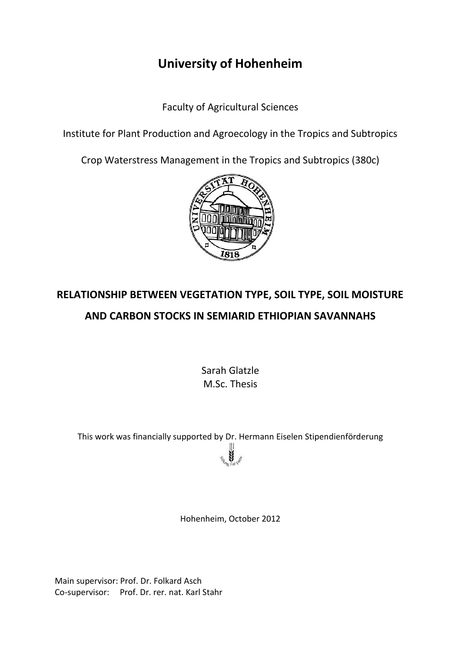## **University of Hohenheim**

Faculty of Agricultural Sciences

Institute for Plant Production and Agroecology in the Tropics and Subtropics

Crop Waterstress Management in the Tropics and Subtropics (380c)



## **RELATIONSHIP BETWEEN VEGETATION TYPE, SOIL TYPE, SOIL MOISTURE AND CARBON STOCKS IN SEMIARID ETHIOPIAN SAVANNAHS**

Sarah Glatzle M.Sc. Thesis

This work was financially supported by Dr. Hermann Eiselen Stipendienförderung

Hohenheim, October 2012

Main supervisor: Prof. Dr. Folkard Asch Co-supervisor: Prof. Dr. rer. nat. Karl Stahr